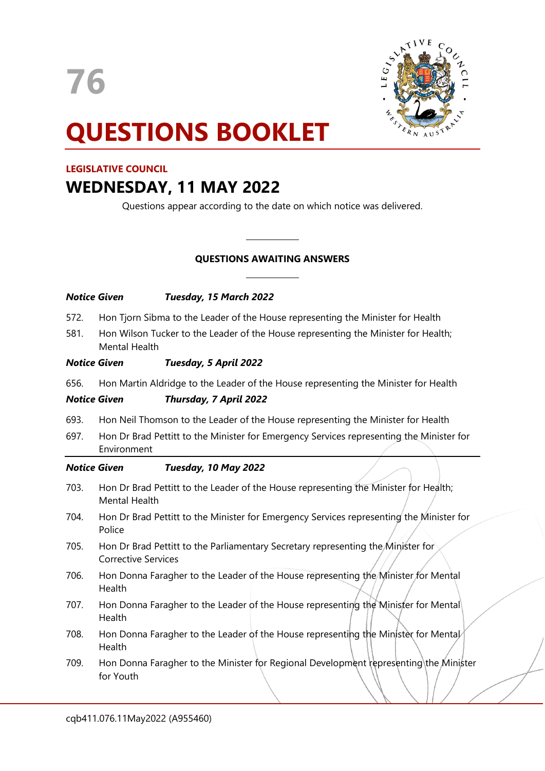



# **QUESTIONS BOOKLET**

#### **LEGISLATIVE COUNCIL**

## **WEDNESDAY, 11 MAY 2022**

Questions appear according to the date on which notice was delivered.

### **QUESTIONS AWAITING ANSWERS**

 $\overline{\phantom{a}}$ 

 $\overline{\phantom{a}}$ 

| Notice Given |                                                                                                                | Tuesday, 15 March 2022 |
|--------------|----------------------------------------------------------------------------------------------------------------|------------------------|
| 572.         | Hon Tjorn Sibma to the Leader of the House representing the Minister for Health                                |                        |
| 581.         | Hon Wilson Tucker to the Leader of the House representing the Minister for Health;<br>Mental Health            |                        |
| Notice Given |                                                                                                                | Tuesday, 5 April 2022  |
| 656.         | Hon Martin Aldridge to the Leader of the House representing the Minister for Health                            |                        |
| Notice Given |                                                                                                                | Thursday, 7 April 2022 |
| 693.         | Hon Neil Thomson to the Leader of the House representing the Minister for Health                               |                        |
| 697.         | Hon Dr Brad Pettitt to the Minister for Emergency Services representing the Minister for<br>Environment        |                        |
| Notice Given |                                                                                                                | Tuesday, 10 May 2022   |
| 703.         | Hon Dr Brad Pettitt to the Leader of the House representing the Minister for Health;<br><b>Mental Health</b>   |                        |
| 704.         | Hon Dr Brad Pettitt to the Minister for Emergency Services representing the Minister for<br>Police             |                        |
| 705.         | Hon Dr Brad Pettitt to the Parliamentary Secretary representing the Minister for<br><b>Corrective Services</b> |                        |
| 706.         | Hon Donna Faragher to the Leader of the House representing the Minister for Mental<br>Health                   |                        |
| 707.         | Hon Donna Faragher to the Leader of the House representing the Minister for Mental<br>Health                   |                        |
| 708.         | Hon Donna Faragher to the Leader of the House representing the Minister for Mental<br>Health                   |                        |
| 709.         | Hon Donna Faragher to the Minister for Regional Development representing the Minister<br>for Youth             |                        |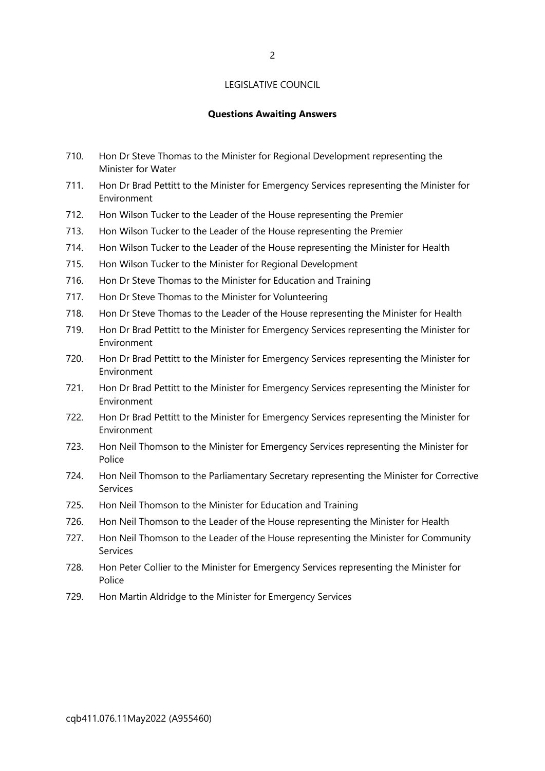#### **Questions Awaiting Answers**

- 710. Hon Dr Steve Thomas to the Minister for Regional Development representing the Minister for Water
- 711. Hon Dr Brad Pettitt to the Minister for Emergency Services representing the Minister for Environment
- 712. Hon Wilson Tucker to the Leader of the House representing the Premier
- 713. Hon Wilson Tucker to the Leader of the House representing the Premier
- 714. Hon Wilson Tucker to the Leader of the House representing the Minister for Health
- 715. Hon Wilson Tucker to the Minister for Regional Development
- 716. Hon Dr Steve Thomas to the Minister for Education and Training
- 717. Hon Dr Steve Thomas to the Minister for Volunteering
- 718. Hon Dr Steve Thomas to the Leader of the House representing the Minister for Health
- 719. Hon Dr Brad Pettitt to the Minister for Emergency Services representing the Minister for Environment
- 720. Hon Dr Brad Pettitt to the Minister for Emergency Services representing the Minister for Environment
- 721. Hon Dr Brad Pettitt to the Minister for Emergency Services representing the Minister for Environment
- 722. Hon Dr Brad Pettitt to the Minister for Emergency Services representing the Minister for Environment
- 723. Hon Neil Thomson to the Minister for Emergency Services representing the Minister for Police
- 724. Hon Neil Thomson to the Parliamentary Secretary representing the Minister for Corrective Services
- 725. Hon Neil Thomson to the Minister for Education and Training
- 726. Hon Neil Thomson to the Leader of the House representing the Minister for Health
- 727. Hon Neil Thomson to the Leader of the House representing the Minister for Community Services
- 728. Hon Peter Collier to the Minister for Emergency Services representing the Minister for Police
- 729. Hon Martin Aldridge to the Minister for Emergency Services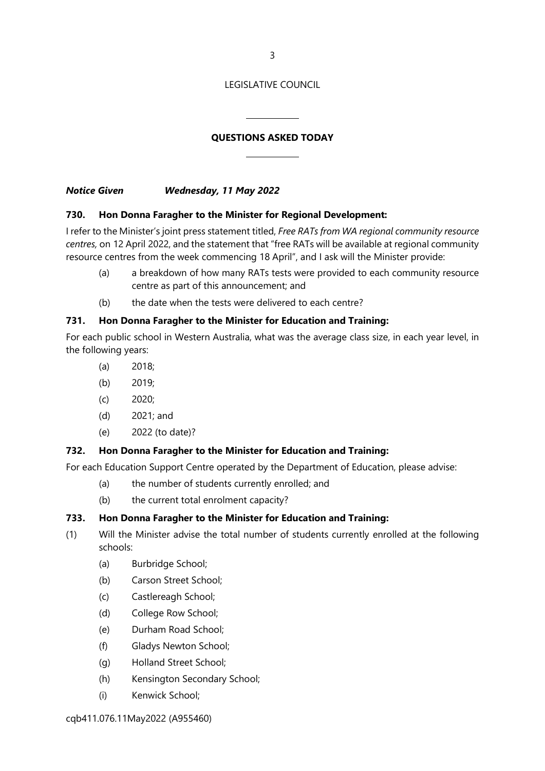3

#### LEGISLATIVE COUNCIL

#### **QUESTIONS ASKED TODAY**

 $\overline{\phantom{a}}$ 

 $\overline{\phantom{a}}$ 

*Notice Given Wednesday, 11 May 2022*

#### **730. Hon Donna Faragher to the Minister for Regional Development:**

I refer to the Minister's joint press statement titled, *Free RATs from WA regional community resource centres,* on 12 April 2022, and the statement that "free RATs will be available at regional community resource centres from the week commencing 18 April", and I ask will the Minister provide:

- (a) a breakdown of how many RATs tests were provided to each community resource centre as part of this announcement; and
- (b) the date when the tests were delivered to each centre?

#### **731. Hon Donna Faragher to the Minister for Education and Training:**

For each public school in Western Australia, what was the average class size, in each year level, in the following years:

- (a) 2018;
- (b) 2019;
- (c) 2020;
- (d) 2021; and
- (e) 2022 (to date)?

#### **732. Hon Donna Faragher to the Minister for Education and Training:**

For each Education Support Centre operated by the Department of Education, please advise:

- (a) the number of students currently enrolled; and
- (b) the current total enrolment capacity?

#### **733. Hon Donna Faragher to the Minister for Education and Training:**

- (1) Will the Minister advise the total number of students currently enrolled at the following schools:
	- (a) Burbridge School;
	- (b) Carson Street School;
	- (c) Castlereagh School;
	- (d) College Row School;
	- (e) Durham Road School;
	- (f) Gladys Newton School;
	- (g) Holland Street School;
	- (h) Kensington Secondary School;
	- (i) Kenwick School;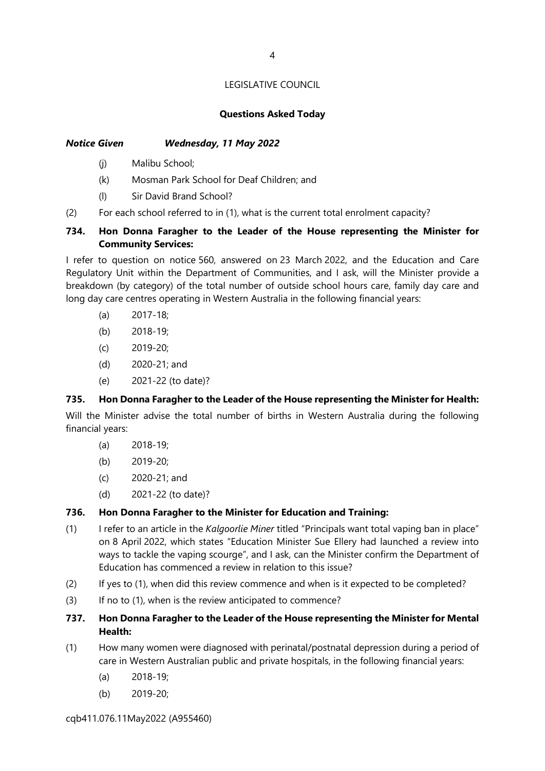#### **Questions Asked Today**

#### *Notice Given Wednesday, 11 May 2022*

- (j) Malibu School;
- (k) Mosman Park School for Deaf Children; and
- (l) Sir David Brand School?
- (2) For each school referred to in (1), what is the current total enrolment capacity?

#### **734. Hon Donna Faragher to the Leader of the House representing the Minister for Community Services:**

I refer to question on notice 560, answered on 23 March 2022, and the Education and Care Regulatory Unit within the Department of Communities, and I ask, will the Minister provide a breakdown (by category) of the total number of outside school hours care, family day care and long day care centres operating in Western Australia in the following financial years:

- (a) 2017-18;
- (b) 2018-19;
- (c) 2019-20;
- (d) 2020-21; and
- (e) 2021-22 (to date)?

#### **735. Hon Donna Faragher to the Leader of the House representing the Minister for Health:**

Will the Minister advise the total number of births in Western Australia during the following financial years:

- (a) 2018-19;
- (b) 2019-20;
- (c) 2020-21; and
- (d) 2021-22 (to date)?

#### **736. Hon Donna Faragher to the Minister for Education and Training:**

- (1) I refer to an article in the *Kalgoorlie Miner* titled "Principals want total vaping ban in place" on 8 April 2022, which states "Education Minister Sue Ellery had launched a review into ways to tackle the vaping scourge", and I ask, can the Minister confirm the Department of Education has commenced a review in relation to this issue?
- (2) If yes to (1), when did this review commence and when is it expected to be completed?
- (3) If no to (1), when is the review anticipated to commence?

#### **737. Hon Donna Faragher to the Leader of the House representing the Minister for Mental Health:**

- (1) How many women were diagnosed with perinatal/postnatal depression during a period of care in Western Australian public and private hospitals, in the following financial years:
	- (a) 2018-19;
	- (b) 2019-20;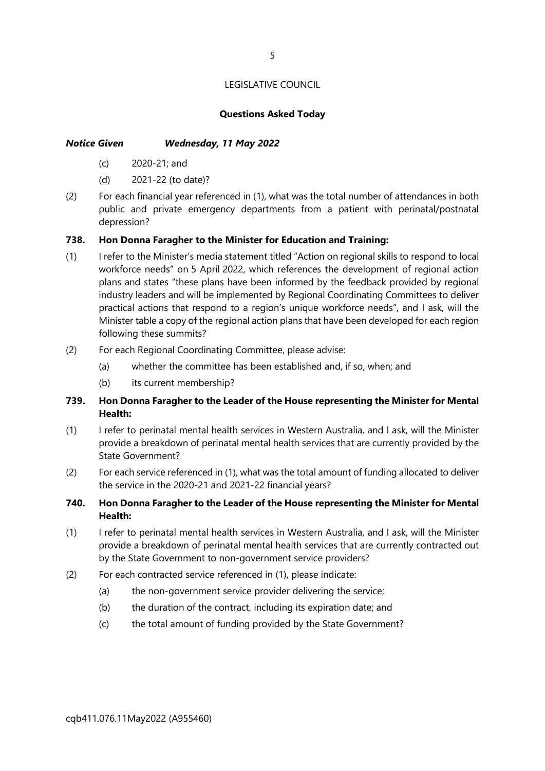#### **Questions Asked Today**

#### *Notice Given Wednesday, 11 May 2022*

- (c) 2020-21; and
- (d) 2021-22 (to date)?
- (2) For each financial year referenced in (1), what was the total number of attendances in both public and private emergency departments from a patient with perinatal/postnatal depression?

#### **738. Hon Donna Faragher to the Minister for Education and Training:**

- (1) I refer to the Minister's media statement titled "Action on regional skills to respond to local workforce needs" on 5 April 2022, which references the development of regional action plans and states "these plans have been informed by the feedback provided by regional industry leaders and will be implemented by Regional Coordinating Committees to deliver practical actions that respond to a region's unique workforce needs", and I ask, will the Minister table a copy of the regional action plans that have been developed for each region following these summits?
- (2) For each Regional Coordinating Committee, please advise:
	- (a) whether the committee has been established and, if so, when; and
	- (b) its current membership?

#### **739. Hon Donna Faragher to the Leader of the House representing the Minister for Mental Health:**

- (1) I refer to perinatal mental health services in Western Australia, and I ask, will the Minister provide a breakdown of perinatal mental health services that are currently provided by the State Government?
- (2) For each service referenced in (1), what was the total amount of funding allocated to deliver the service in the 2020-21 and 2021-22 financial years?
- **740. Hon Donna Faragher to the Leader of the House representing the Minister for Mental Health:**
- (1) I refer to perinatal mental health services in Western Australia, and I ask, will the Minister provide a breakdown of perinatal mental health services that are currently contracted out by the State Government to non-government service providers?
- (2) For each contracted service referenced in (1), please indicate:
	- (a) the non-government service provider delivering the service;
	- (b) the duration of the contract, including its expiration date; and
	- (c) the total amount of funding provided by the State Government?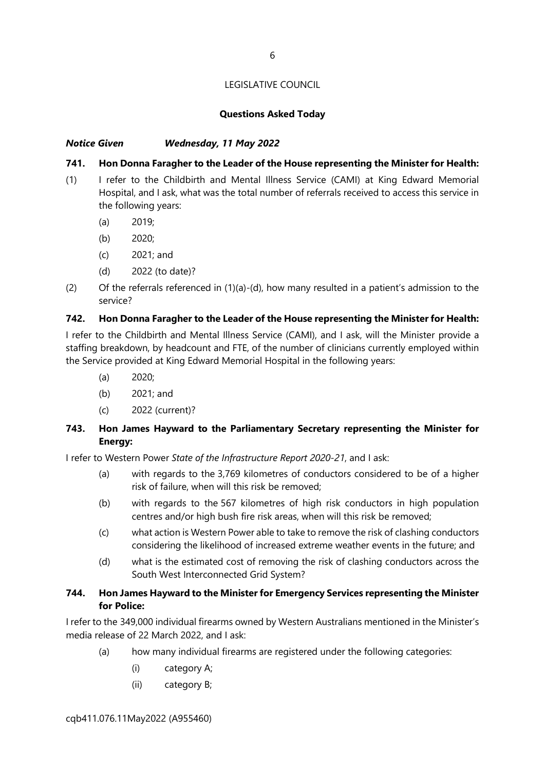#### **Questions Asked Today**

#### *Notice Given Wednesday, 11 May 2022*

#### **741. Hon Donna Faragher to the Leader of the House representing the Minister for Health:**

- (1) I refer to the Childbirth and Mental Illness Service (CAMI) at King Edward Memorial Hospital, and I ask, what was the total number of referrals received to access this service in the following years:
	- (a) 2019;
	- (b) 2020;
	- (c) 2021; and
	- (d) 2022 (to date)?
- (2) Of the referrals referenced in  $(1)(a)-(d)$ , how many resulted in a patient's admission to the service?

#### **742. Hon Donna Faragher to the Leader of the House representing the Minister for Health:**

I refer to the Childbirth and Mental Illness Service (CAMI), and I ask, will the Minister provide a staffing breakdown, by headcount and FTE, of the number of clinicians currently employed within the Service provided at King Edward Memorial Hospital in the following years:

- (a) 2020;
- (b) 2021; and
- (c) 2022 (current)?

#### **743. Hon James Hayward to the Parliamentary Secretary representing the Minister for Energy:**

I refer to Western Power *State of the Infrastructure Report 2020-21*, and I ask:

- (a) with regards to the 3,769 kilometres of conductors considered to be of a higher risk of failure, when will this risk be removed;
- (b) with regards to the 567 kilometres of high risk conductors in high population centres and/or high bush fire risk areas, when will this risk be removed;
- (c) what action is Western Power able to take to remove the risk of clashing conductors considering the likelihood of increased extreme weather events in the future; and
- (d) what is the estimated cost of removing the risk of clashing conductors across the South West Interconnected Grid System?

#### **744. Hon James Hayward to the Minister for Emergency Services representing the Minister for Police:**

I refer to the 349,000 individual firearms owned by Western Australians mentioned in the Minister's media release of 22 March 2022, and I ask:

- (a) how many individual firearms are registered under the following categories:
	- (i) category A;
	- (ii) category B;